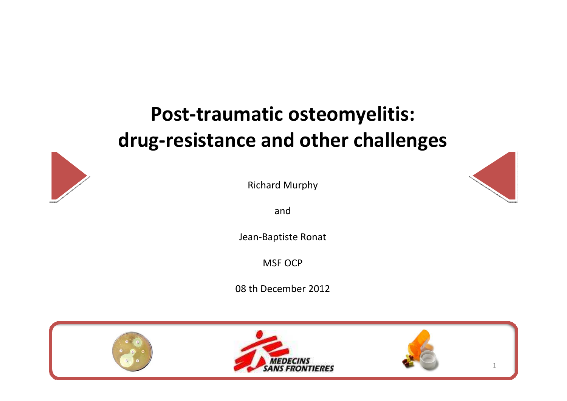## Post-traumatic osteomyelitis:drug-resistance and other challenges



Richard Murphy

and

Jean-Baptiste Ronat

MSF OCP

08 th December 2012

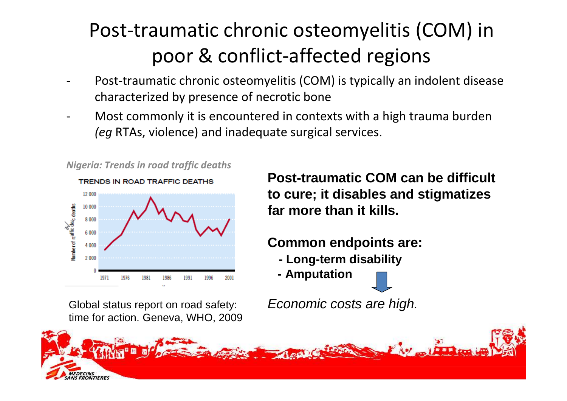# Post-traumatic chronic osteomyelitis (COM) in poor & conflict-affected regions

- - Post-traumatic chronic osteomyelitis (COM) is typically an indolent disease characterized by presence of necrotic bone
- - Most commonly it is encountered in contexts with a high trauma burden (eg RTAs, violence) and inadequate surgical services.



Nigeria: Trends in road traffic deaths

Global status report on road safety: Economic costs are high. time for action. Geneva, WHO, 2009

**Post-traumatic COM can be difficult to cure; it disables and stigmatizes far more than it kills.** 

## **Common endpoints are:**

- **- Long-term disability**
- **- Amputation**

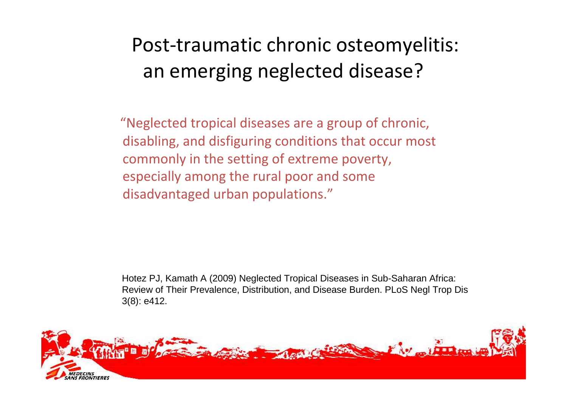# Post-traumatic chronic osteomyelitis:an emerging neglected disease?

"Neglected tropical diseases are a group of chronic, disabling, and disfiguring conditions that occur most commonly in the setting of extreme poverty, especially among the rural poor and some disadvantaged urban populations."

Hotez PJ, Kamath A (2009) Neglected Tropical Diseases in Sub-Saharan Africa: Review of Their Prevalence, Distribution, and Disease Burden. PLoS Negl Trop Dis 3(8): e412.

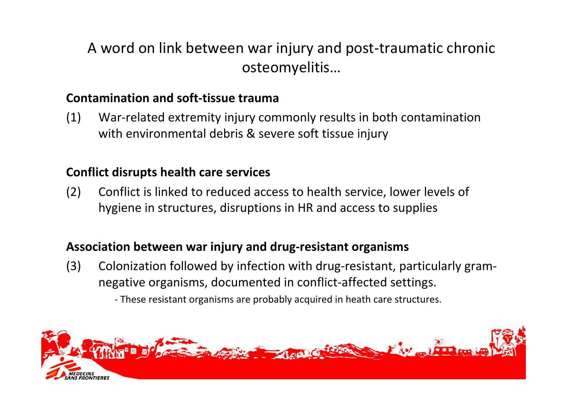## A word on link between war injury and post-traumatic chronic osteomyelitis…

### Contamination and soft-tissue trauma

(1) War-related extremity injury commonly results in both contamination with environmental debris & severe soft tissue injury

### Conflict disrupts health care services

(2) Conflict is linked to reduced access to health service, lower levels of hygiene in structures, disruptions in HR and access to supplies

### Association between war injury and drug-resistant organisms

- (3) Colonization followed by infection with drug-resistant, particularly gramnegative organisms, documented in conflict-affected settings.
	- These resistant organisms are probably acquired in heath care structures.

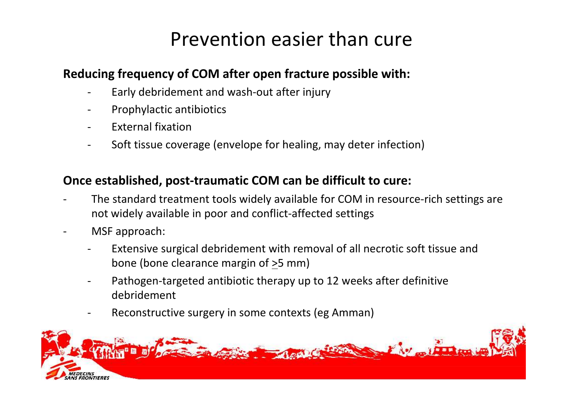## Prevention easier than cure

### Reducing frequency of COM after open fracture possible with:

- $\overline{\phantom{a}}$ Early debridement and wash-out after injury
- -Prophylactic antibiotics
- -External fixation
- -Soft tissue coverage (envelope for healing, may deter infection)

### Once established, post-traumatic COM can be difficult to cure:

- - The standard treatment tools widely available for COM in resource-rich settings are not widely available in poor and conflict-affected settings
- - MSF approach:
	- - Extensive surgical debridement with removal of all necrotic soft tissue and bone (bone clearance margin of  $\geq$ 5 mm)
	- - Pathogen-targeted antibiotic therapy up to 12 weeks after definitive debridement
	- -Reconstructive surgery in some contexts (eg Amman)

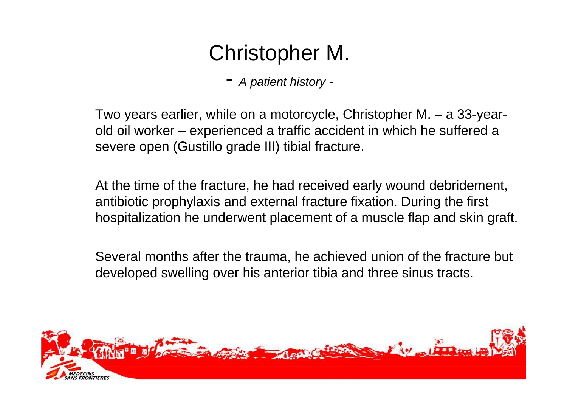# Christopher M.

- A patient history -

Two years earlier, while on a motorcycle, Christopher M. – a 33-yearold oil worker – experienced a traffic accident in which he suffered a severe open (Gustillo grade III) tibial fracture.

At the time of the fracture, he had received early wound debridement, antibiotic prophylaxis and external fracture fixation. During the first hospitalization he underwent placement of a muscle flap and skin graft.

Several months after the trauma, he achieved union of the fracture but developed swelling over his anterior tibia and three sinus tracts.

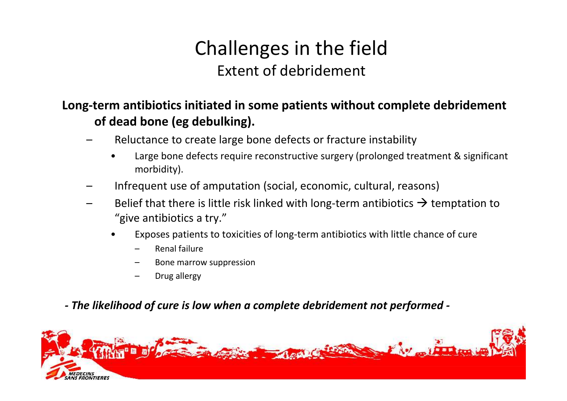## Challenges in the fieldExtent of debridement

### Long-term antibiotics initiated in some patients without complete debridement of dead bone (eg debulking).

- – Reluctance to create large bone defects or fracture instability
	- • Large bone defects require reconstructive surgery (prolonged treatment & significant morbidity).
- Infrequent use of amputation (social, economic, cultural, reasons)
- –Belief that there is little risk linked with long-term antibiotics  $\rightarrow$  temptation to "give antibiotics a try" "give antibiotics a try."
	- • Exposes patients to toxicities of long-term antibiotics with little chance of cure
		- –Renal failure
		- Bone marrow suppression
		- Drug allergy

## - The likelihood of cure is low when a complete debridement not performed -

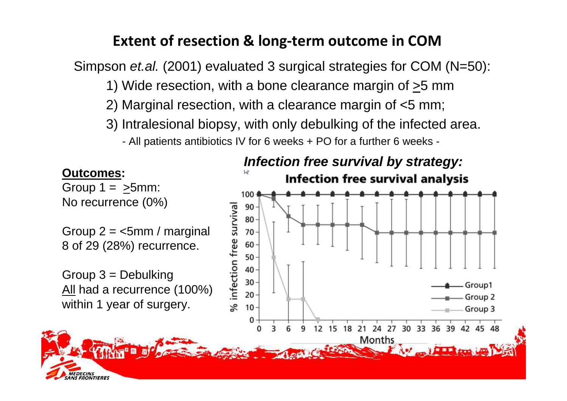## Extent of resection & long-term outcome in COM

Simpson *et.al.* (2001) evaluated 3 surgical strategies for COM (N=50):

- 1) Wide resection, with a bone clearance margin of  $\geq$ 5 mm
- 2) Marginal resection, with a clearance margin of <5 mm;
- 3) Intralesional biopsy, with only debulking of the infected area.

- All patients antibiotics IV for 6 weeks + PO for a further 6 weeks -

#### **Outcomes:**

**EDECINS<br>IS FRONTIERES** 

Group  $1 = 5$ mm: No recurrence (0%)

Group  $2 =$  <5mm / marginal 8 of 29 (28%) recurrence.

Group 3 = Debulking<u>All</u> had a recurrence (100%) within 1 year of surgery.

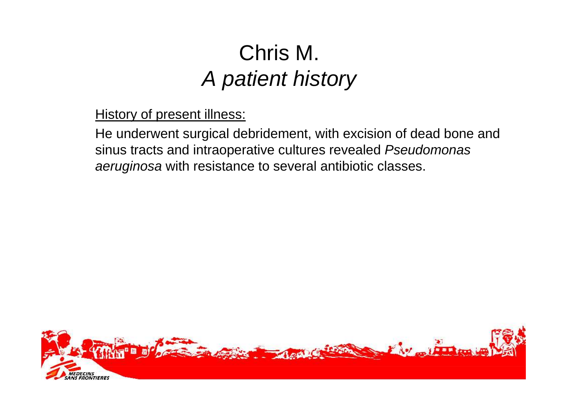# Chris M. A patient history

**History of present illness:** 

He underwent surgical debridement, with excision of dead bone and sinus tracts and intraoperative cultures revealed Pseudomonas aeruginosa with resistance to several antibiotic classes.

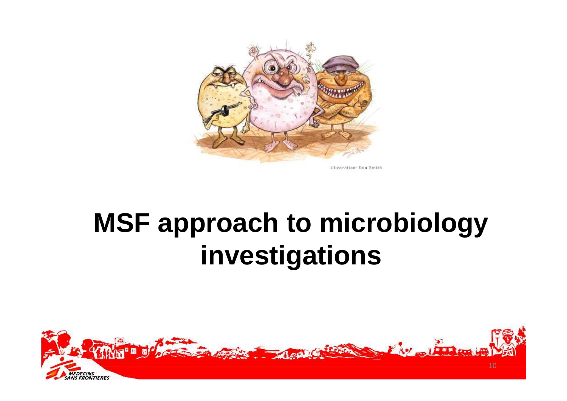

# **MSF approach to microbiology investigations**

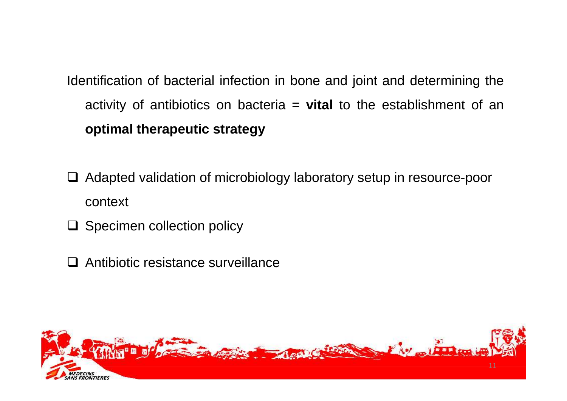Identification of bacterial infection in bone and joint and determining the activity of antibiotics on bacteria = **vital** to the establishment of an **optimal therapeutic strategy**

- □ Adapted validation of microbiology laboratory setup in resource-poor context
- □ Specimen collection policy
- **□** Antibiotic resistance surveillance

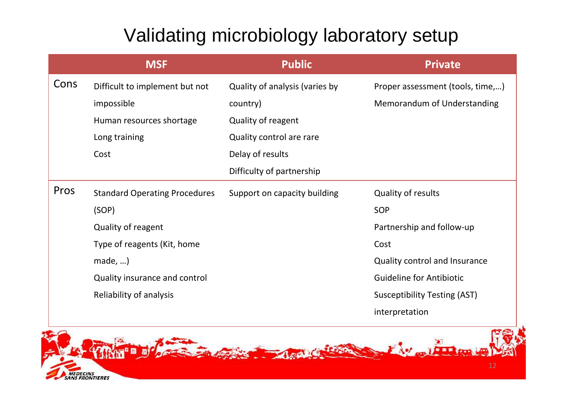## Validating microbiology laboratory setup

|      | <b>MSF</b>                           | <b>Public</b>                  | <b>Private</b>                      |
|------|--------------------------------------|--------------------------------|-------------------------------------|
| Cons | Difficult to implement but not       | Quality of analysis (varies by | Proper assessment (tools, time,)    |
|      | impossible                           | country)                       | Memorandum of Understanding         |
|      | Human resources shortage             | Quality of reagent             |                                     |
|      | Long training                        | Quality control are rare       |                                     |
|      | Cost                                 | Delay of results               |                                     |
|      |                                      | Difficulty of partnership      |                                     |
| Pros | <b>Standard Operating Procedures</b> | Support on capacity building   | Quality of results                  |
|      | (SOP)                                |                                | <b>SOP</b>                          |
|      | Quality of reagent                   |                                | Partnership and follow-up           |
|      | Type of reagents (Kit, home          |                                | Cost                                |
|      | made,                                |                                | Quality control and Insurance       |
|      | Quality insurance and control        |                                | <b>Guideline for Antibiotic</b>     |
|      | Reliability of analysis              |                                | <b>Susceptibility Testing (AST)</b> |
|      |                                      |                                | interpretation                      |

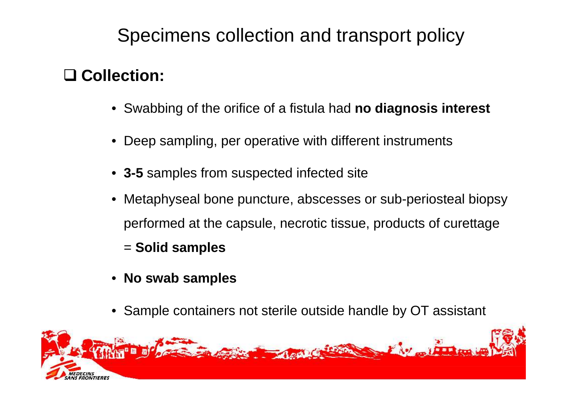## Specimens collection and transport policy

# - **Collection:**

- Swabbing of the orifice of a fistula had **no diagnosis interest**
- Deep sampling, per operative with different instruments
- **3-5** samples from suspected infected site
- Metaphyseal bone puncture, abscesses or sub-periosteal biopsy performed at the capsule, necrotic tissue, products of curettage
	- = **Solid samples**
- **No swab samples**
- Sample containers not sterile outside handle by OT assistant

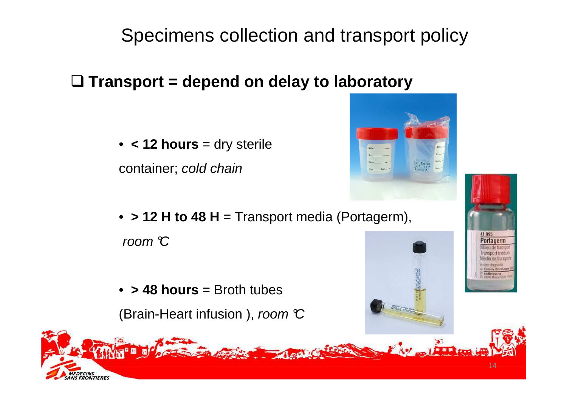## Specimens collection and transport policy

- **Transport = depend on delay to laboratory**

• **< 12 hours** = dry sterile

container; cold chain

- **> 12 H to 48 H** = Transport media (Portagerm), room  $\mathbb C$
- **> 48 hours** = Broth tubes

EDECINS<br>IS FRONTIERES

(Brain-Heart infusion), room  $\mathbb C$ 

 $3\overline{CD}$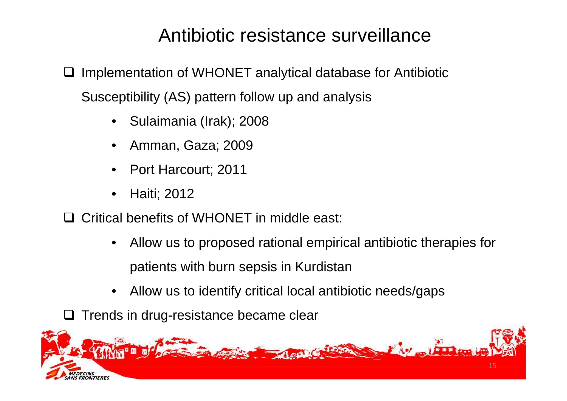## Antibiotic resistance surveillance

 $\Box$  Implementation of WHONET analytical database for Antibiotic Susceptibility (AS) pattern follow up and analysis

- •Sulaimania (Irak); 2008
- •Amman, Gaza; 2009
- •Port Harcourt; 2011
- •Haiti; 2012
- **□** Critical benefits of WHONET in middle east:
	- • Allow us to proposed rational empirical antibiotic therapies forpatients with burn sepsis in Kurdistan
	- $\bullet$ Allow us to identify critical local antibiotic needs/gaps
- **□ Trends in drug-resistance became clear**

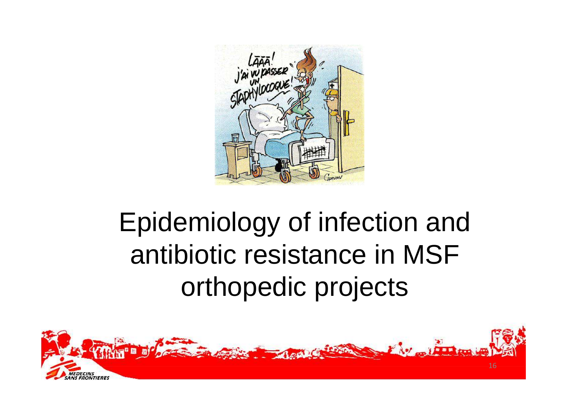

# Epidemiology of infection and antibiotic resistance in MSF orthopedic projects

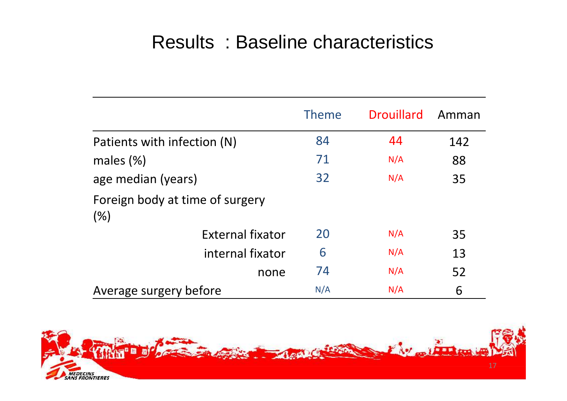## Results : Baseline characteristics

|                                        | <b>Theme</b> | <b>Drouillard</b> | Amman |
|----------------------------------------|--------------|-------------------|-------|
| Patients with infection (N)            | 84           | 44                | 142   |
| males $(\%)$                           | 71           | N/A               | 88    |
| age median (years)                     | 32           | N/A               | 35    |
| Foreign body at time of surgery<br>(%) |              |                   |       |
| External fixator                       | 20           | N/A               | 35    |
| internal fixator                       | 6            | N/A               | 13    |
| none                                   | 74           | N/A               | 52    |
| Average surgery before                 | N/A          | N/A               | 6     |

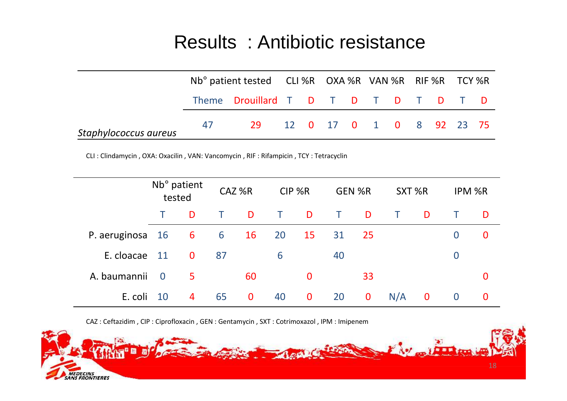## Results : Antibiotic resistance

|                       |    | Nb° patient tested CLI %R OXA %R VAN %R RIF %R TCY %R |  |                          |  |  |  |  |
|-----------------------|----|-------------------------------------------------------|--|--------------------------|--|--|--|--|
|                       |    | Theme Drouillard T D T D T D T D T D                  |  |                          |  |  |  |  |
| Staphylococcus aureus | 47 | 29.                                                   |  | 12 0 17 0 1 0 8 92 23 75 |  |  |  |  |

CLI : Clindamycin , OXA: Oxacilin , VAN: Vancomycin , RIF : Rifampicin , TCY : Tetracyclin

|               |                | Nb <sup>o</sup> patient<br>tested |    | CAZ%R       |    | CIP %R       |    | <b>GEN %R</b> | SXT %R |                         |                | IPM %R   |
|---------------|----------------|-----------------------------------|----|-------------|----|--------------|----|---------------|--------|-------------------------|----------------|----------|
|               |                | D                                 |    | D           | T  | D            | T. | D             | $\top$ | D                       |                | D        |
| P. aeruginosa | 16             | 6                                 | 6  | 16          | 20 | 15           | 31 | 25            |        |                         | $\bf{0}$       | $\bf{0}$ |
| E. cloacae    | 11             | $\mathbf{0}$                      | 87 |             | 6  |              | 40 |               |        |                         | $\overline{0}$ |          |
| A. baumannii  | $\overline{0}$ | 5.                                |    | 60          |    | $\mathbf{0}$ |    | 33            |        |                         |                | $\bf{0}$ |
| E. coli       | - 10           | 4                                 | 65 | $\mathbf 0$ | 40 | $\bf{0}$     | 20 | $\bf{0}$      | N/A    | $\overline{\mathbf{0}}$ | $\bf{0}$       | $\bf{0}$ |

CAZ : Ceftazidim , CIP : Ciprofloxacin , GEN : Gentamycin , SXT : Cotrimoxazol , IPM : Imipenem

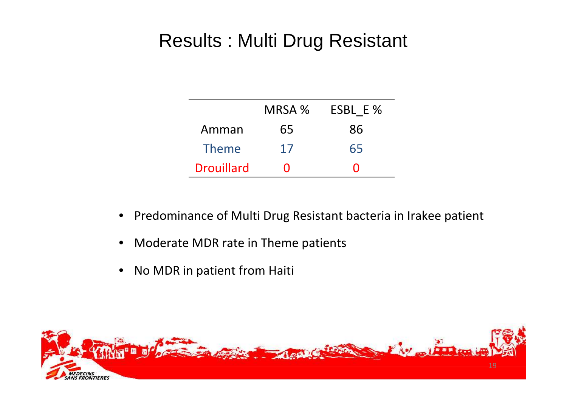## Results : Multi Drug Resistant

|                   | MRSA % | ESBL E% |
|-------------------|--------|---------|
| Amman             | 65     | 86      |
| <b>Theme</b>      | 17     | 65      |
| <b>Drouillard</b> | ' '    | 0       |

- $\bullet$ Predominance of Multi Drug Resistant bacteria in Irakee patient
- $\bullet$ Moderate MDR rate in Theme patients
- •No MDR in patient from Haiti

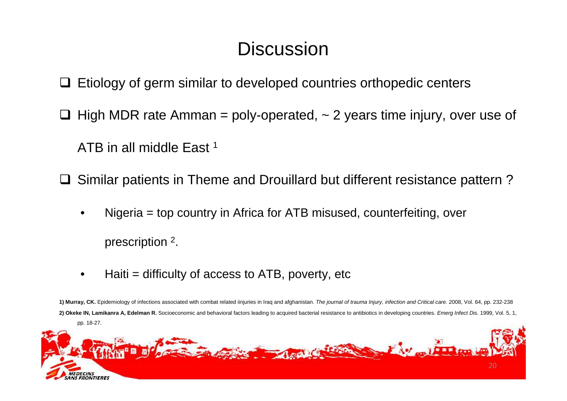## **Discussion**

**□ Etiology of germ similar to developed countries orthopedic centers** 

 $\Box$  High MDR rate Amman = poly-operated,  $\sim$  2 years time injury, over use of

ATB in all middle East<sup>1</sup>

□ Similar patients in Theme and Drouillard but different resistance pattern?

- • Nigeria = top country in Africa for ATB misused, counterfeiting, over prescription <sup>2</sup>.
- • $Haiti = difficulty$  of access to  $ATB$ , poverty, etc

**1) Murray, CK.** Epidemiology of infections associated with combat related iinjuries in Iraq and afghanistan. The journal of trauma Injury, infection and Critical care. 2008, Vol. 64, pp. 232-238**2) Okeke IN, Lamikanra A, Edelman R.** Socioeconomic and behavioral factors leading to acquired bacterial resistance to antibiotics in developing countries. Emerg Infect Dis. 1999, Vol. 5, 1, pp. 18-27.

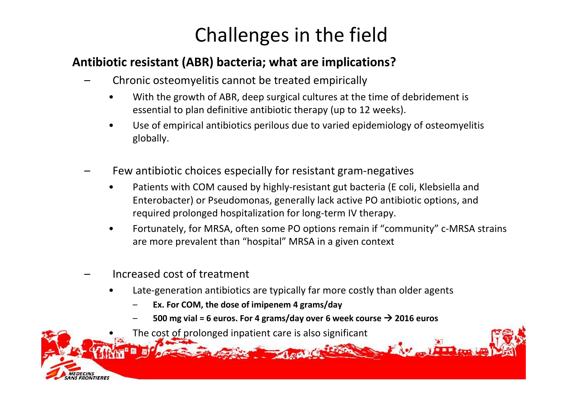# Challenges in the field

### Antibiotic resistant (ABR) bacteria; what are implications?

- – Chronic osteomyelitis cannot be treated empiricall y
	- • With the growth of ABR, deep surgical cultures at the time of debridement is essential to plan definitive antibiotic therapy (up to 12 weeks).
	- • Use of empirical antibiotics perilous due to varied epidemiology of osteomyelitis globally.
- Few antibiotic choices especially for resistant gram-negatives
	- • Patients with COM caused by highly-resistant gut bacteria (E coli, Klebsiella and Enterobacter) or Pseudomonas, generally lack active PO antibiotic options, and required prolonged hospitalization for long-term IV therapy.
	- • Fortunately, for MRSA, often some PO options remain if "community" c-MRSA strains are more prevalent than "hospital" MRSA in a given context
- –Increased cost of treatment

•

- • Late-generation antibiotics are typically far more costly than older agents
	- Ex. For COM, the dose of imipenem 4 grams/day
	- $-$  500 mg vial = 6 euros. For 4 grams/day over 6 week course  $\rightarrow$  2016 euros
	- The cost of prolonged inpatient care is also significant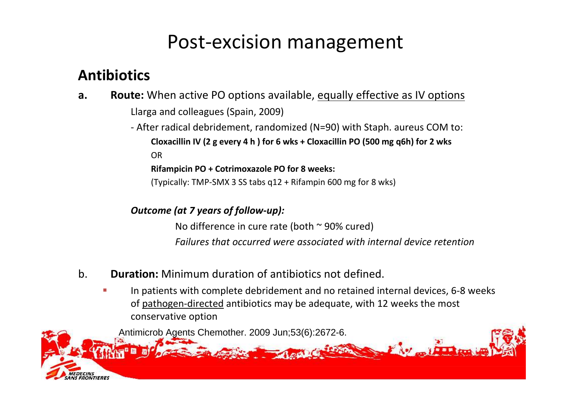## Post-excision management

## Antibiotics

**a.** Route: When active PO options available, equally effective as IV options Llarga and colleagues (Spain, 2009)

> - After radical debridement, randomized (N=90) with Staph. aureus COM to: Cloxacillin IV (2 g every 4 h ) for 6 wks + Cloxacillin PO (500 mg q6h) for 2 wksOR

Rifampicin PO + Cotrimoxazole PO for 8 weeks:

(Typically: TMP-SMX 3 SS tabs q12 + Rifampin 600 mg for 8 wks)

Outcome (at 7 years of follow-up):

No difference in cure rate (both  $\sim$  90% cured) Failures that occurred were associated with internal device retention

- b. Duration: Minimum duration of antibiotics not defined.
	- In patients with complete debridement and no retained internal devices, 6-8 weeks of <u>pathogen-directed</u> antibiotics may be adequate, with 12 weeks the most conservative option

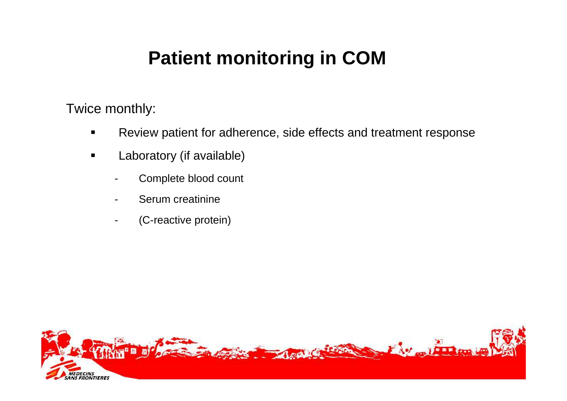## **Patient monitoring in COM**

Twice monthly:

- $\blacksquare$ Review patient for adherence, side effects and treatment response
- $\blacksquare$  Laboratory (if available)
	- Complete blood count
	- Serum creatinine
	- (C-reactive protein)

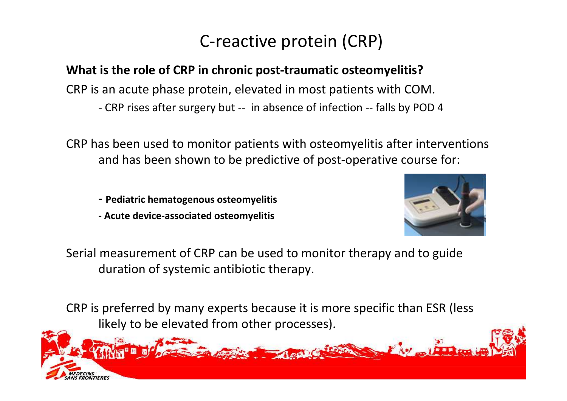## C-reactive protein (CRP)

### What is the role of CRP in chronic post-traumatic osteomyelitis?

CRP is an acute phase protein, elevated in most patients with COM.

- CRP rises after surgery but -- in absence of infection -- falls by POD 4

CRP has been used to monitor patients with osteomyelitis after interventions and has been shown to be predictive of post-operative course for:

- Pediatric hematogenous osteomyelitis
- Acute device-associated osteomyelitis



Serial measurement of CRP can be used to monitor therapy and to guide duration of systemic antibiotic therapy.

CRP is preferred by many experts because it is more specific than ESR (less likely to be elevated from other processes).

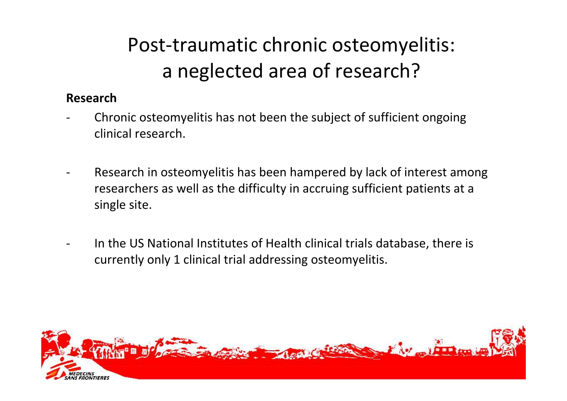# Post-traumatic chronic osteomyelitis: a neglected area of research?

### Research

- Chronic osteomyelitis has not been the subject of sufficient ongoing clinical research.
- Research in osteomyelitis has been hampered by lack of interest among researchers as well as the difficulty in accruing sufficient patients at a single site.
- In the US National Institutes of Health clinical trials database, there is currently only 1 clinical trial addressing osteomyelitis.

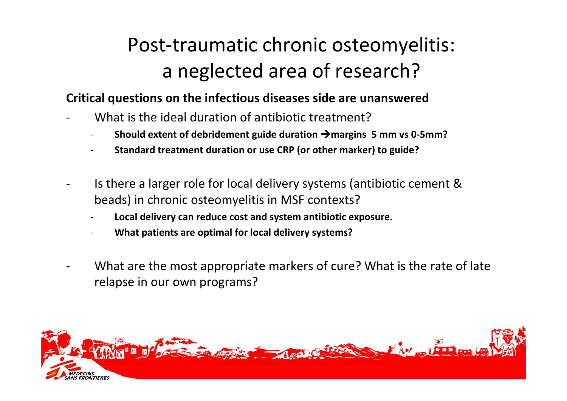# Post-traumatic chronic osteomyelitis: a neglected area of research?

#### Critical questions on the infectious diseases side are unanswered

- What is the ideal duration of antibiotic treatment ?
	- -Should extent of debridement guide duration  $\rightarrow$  margins 5 mm vs 0-5mm?
	- -Standard treatment duration or use CRP (or other marker) to guide?
- Is there a larger role for local delivery systems (antibiotic cement & beads) in chronic osteomyelitis in MSF contexts?
	- -Local delivery can reduce cost and system antibiotic exposure.
	- -What patients are optimal for local delivery systems?
- What are the most appropriate markers of cure? What is the rate of late relapse in our own programs?

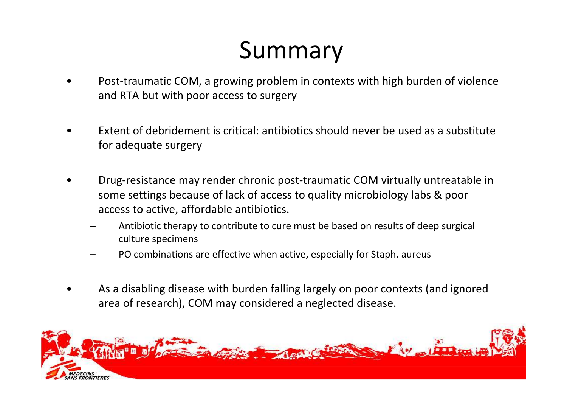# Summary

- • Post-traumatic COM, a growing problem in contexts with high burden of violence and RTA but with poor access to surgery
- • Extent of debridement is critical: antibiotics should never be used as a substitute for adequate surgery
- • Drug-resistance may render chronic post-traumatic COM virtually untreatable in some settings because of lack of access to quality microbiology labs & poor access to active, affordable antibiotics.
	- – Antibiotic therapy to contribute to cure must be based on results of deep surgical culture specimens
	- –PO combinations are effective when active, especially for Staph. aureus
- • As a disabling disease with burden falling largely on poor contexts (and ignored area of research), COM may considered a neglected disease.

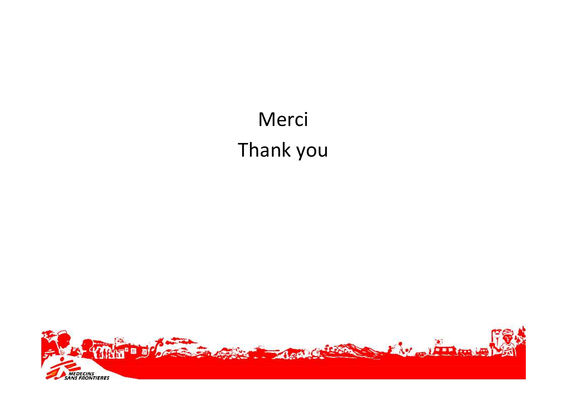# MerciThank you